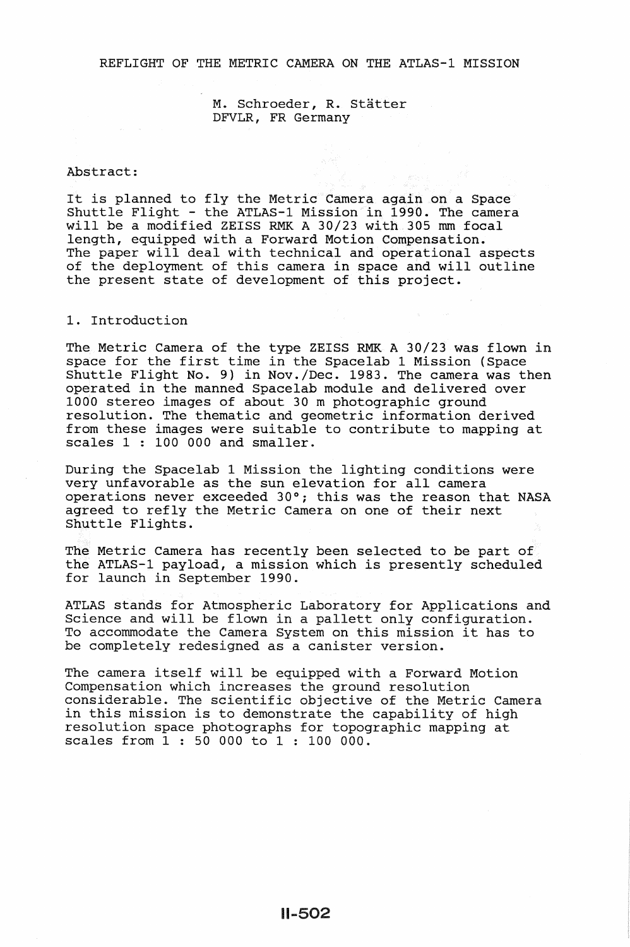### REFLIGHT OF THE METRIC CAMERA ON THE ATLAS-1 MISSION

M. Schroeder, R. Statter DFVLR, FR Germany

#### Abstract:

It is planned to fly the Metric Camera again on a Space Shuttle Flight - the ATLAS-1 Mission in 1990. The camera will be a modified ZEISS RMK A 30/23 with 305 mm focal length, equipped with a Forward Motion Compensation. The paper will deal with technical and operational aspects of the deployment of this camera in space and will outline the present state of development of this project.

## 1. Introduction

The Metric Camera of the type ZEISS RMK A 30/23 was flown in space for the first time in the Spacelab 1 Mission (Space Shuttle Flight No. 9) in Nov./Dec. 1983. The camera was then operated in the manned Spacelab module and delivered over 1000 stereo images of about 30 m photographic ground resolution. The thematic and geometric information derived from these images were suitable to contribute to mapping at scales 1 : 100 000 and smaller.

During the Spacelab 1 Mission the lighting conditions were very unfavorable as the sun elevation for all camera operations never exceeded 30°; this was the reason that NASA agreed to refly the Metric Camera on one of their next Shuttle Flights.

The Metric Camera has recently been selected to be part of the ATLAS-1 payload, a mission which is presently scheduled for launch in September 1990.

ATLAS stands for Atmospheric Laboratory for Applications and Althor Stands for Atmospheric Hasoratory for Appreciations and will be flown in a pallett only configuration. Science and Will be flown in a pallett only configuration.<br>To accommodate the Camera System on this mission it has to To accommodate the Camera System on this mission it has to be completely redesigned as a canister version.

The camera itself will be equipped with a Forward Motion Compensation which increases the ground resolution considerable. The scientific objective of the Metric Camera in this mission is to demonstrate the capability of high resolution space photographs for topographic mapping at scales from 1 : 50 000 to 1 : 100 000.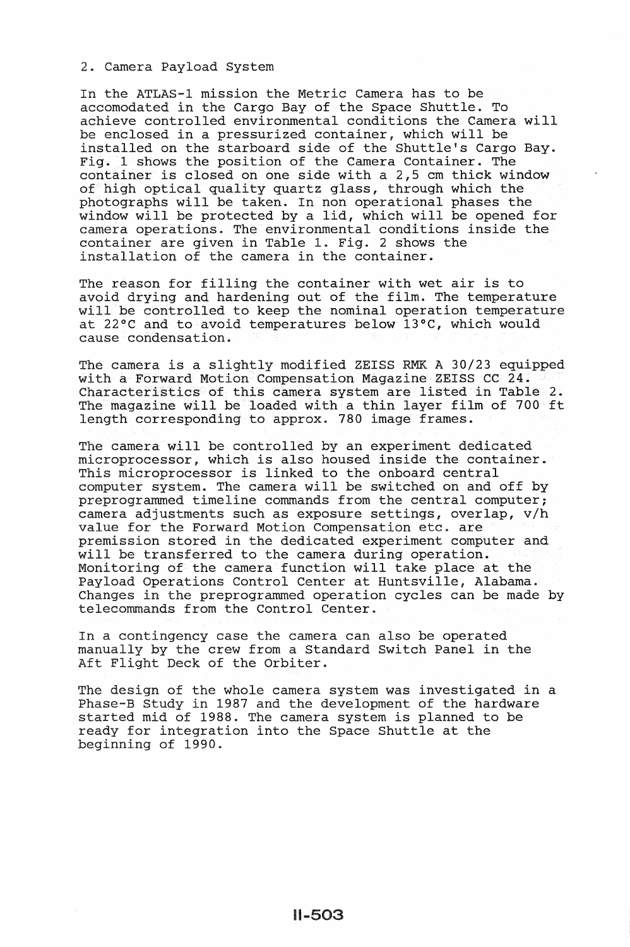## 2. Camera Payload System

In the ATLAS-1 mission the Metric Camera has to be accomodated in the Cargo Bay of the Space Shuttle. To achieve controlled environmental conditions the Camera will be enclosed in a pressurized container, which will be installed on the starboard side of the Shuttle's Cargo Bay. Fig. 1 shows the position of the Camera Container. The container is closed on one side with a 2,5 em thick window of high optical quality quartz glass, through which the photographs will be taken. In non operational phases the window will be protected by a lid, which will be opened for camera operations. The environmental conditions inside the container are given in Table 1. Fig. 2 shows the installation of the camera in the container.

The reason for filling the container with wet air is to avoid drying and hardening out of the film. The temperature will be controlled to keep the nominal operation temperature at 22°C and to avoid temperatures below 13°C, which would cause condensation.

The camera is a slightly modified ZEISS RMK A 30/23 equipped with a Forward Motion Compensation Magazine ZEISS CC 24. Characteristics of this camera system are listed in Table 2. The magazine will be loaded with a thin layer film of 700 ft length corresponding to approx. 780 image frames.

The camera will be controlled by an experiment dedicated microprocessor, which is also housed inside the container. microprocessor, which is also housed inside the contral computer system. The camera will be switched on and off by preprogrammed timeline commands from the central computer; camera adjustments such as exposure settings, overlap, v/h value for the Forward Motion Compensation etc. are premission stored in the dedicated experiment computer and will be transferred to the camera during operation. Monitoring of the camera function will take place at the Payload Operations Control Center at Huntsville, Alabama. Changes in the preprogrammed operation cycles can be made by telecommands from the Control Center.

In a contingency case the camera can also be operated manually by the crew from a Standard Switch Panel in the Aft Flight Deck of the Orbiter.

The design of the whole camera system was investigated in a Phase-B Study in 1987 and the development of the hardware started mid of 1988. The camera system is planned to be ready for integration into the Space Shuttle at the beginning of 1990.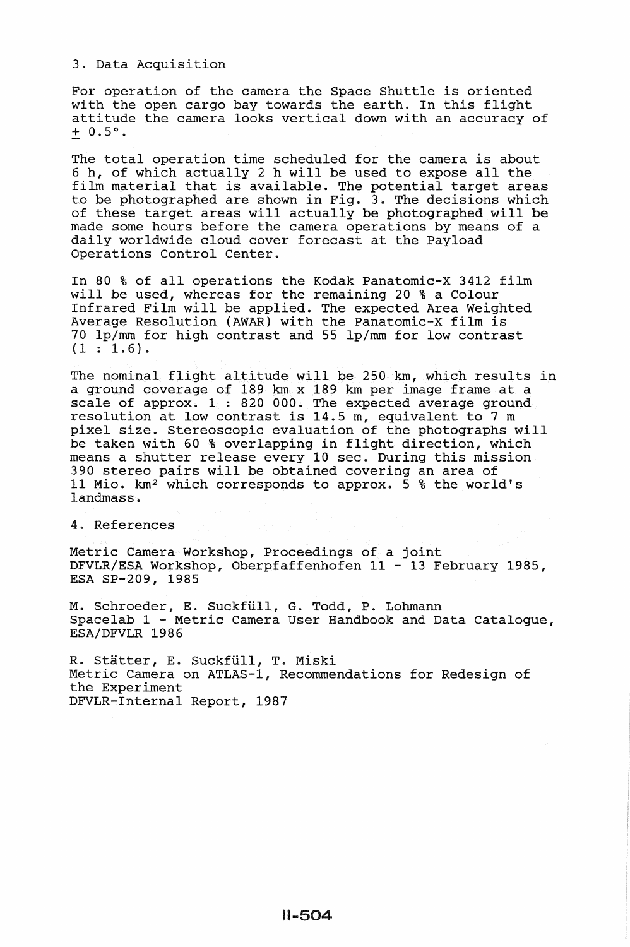3. Data Acquisition

For operation of the camera the Space Shuttle is oriented with the open cargo bay towards the earth. In this flight attitude the camera looks vertical down with an accuracy of  $+ 0.5$ °.

The total operation time scheduled for the camera is about 6 h, of which actually 2 h will be used to expose all the film material that is available. The potential target areas to be photographed are shown in Fig. 3. The decisions which of these target areas will actually be photographed will be made some hours before the camera operations by means of a daily worldwide cloud cover forecast at the Payload Operations Control Center.

In 80 % of all operations the Kodak Panatomic-X 3412 film will be used, whereas for the remaining 20 % a Colour Infrared Film will be applied. The expected Area Weighted Average Resolution (AWAR) with the Panatomic-X film is 70 lp/mm for high contrast and 55 lp/mm for low contrast  $(1 : 1.6).$ 

The nominal flight altitude will be 250 km, which results in a ground coverage of 189 km x 189 km per image frame at a scale of approx. 1: 820 000. The expected average ground scare of approx. I. 520 000. The expected average ground pixel size. Stereoscopic evaluation of the photographs will be taken with 60 % overlapping in flight direction, which means a shutter release every 10 sec. During this mission 390 stereo pairs will be obtained covering an area of 11 Mio. km2 which corresponds to approx. 5 % the world's landmass.

4. References

Metric Camera Workshop, Proceedings of a joint DFVLR/ESA Workshop, Oberpfaffenhofen 11 - 13 February 1985, ESA SP-209, 1985

M. Schroeder, E. Suckfüll, G. Todd, P. Lohmann Spacelab 1 - Metric Camera User Handbook and Data Catalogue, ESA/DFVLR 1986

R. Stätter, E. Suckfüll, T. Miski Metric Camera on ATLAS-1, Recommendations for Redesign of the Experiment DFVLR-Internal Report, 1987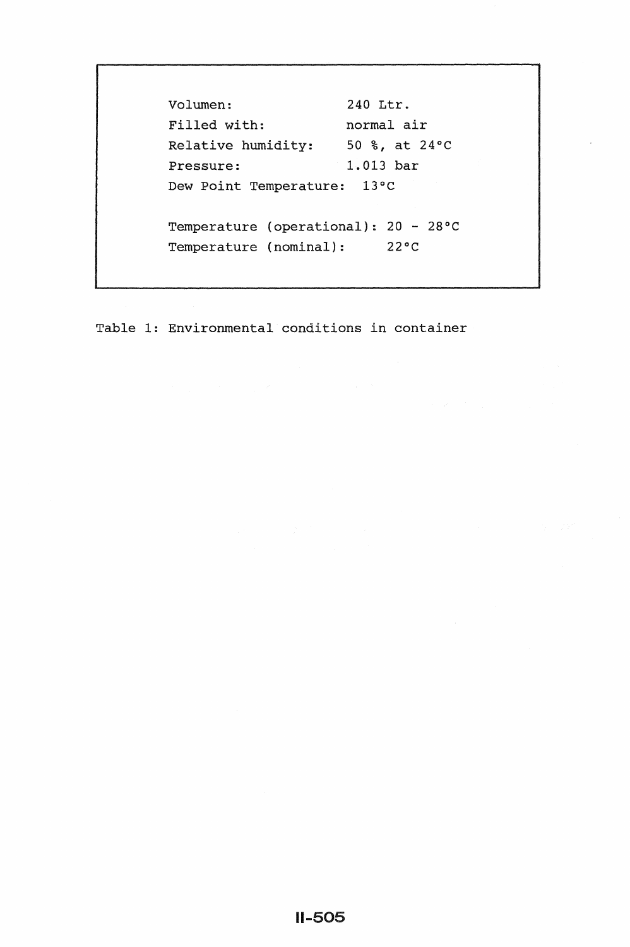Volumen: 240 Ltr. Filled with: normal air Relative humidity: 50 %, at 24°C Pressure: 1.013 bar Dew Point Temperature: 13°C Temperature (operational): 20- 28°C Temperature (nominal): 22°C

Table 1: Environmental conditions in container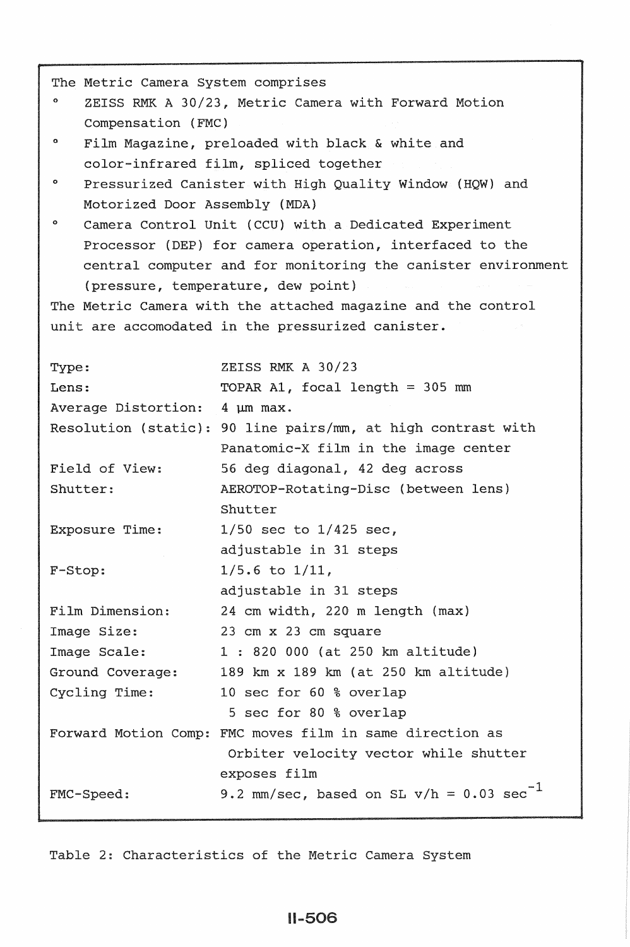| The Metric Camera System comprises                           |                                                              |
|--------------------------------------------------------------|--------------------------------------------------------------|
| ۰<br>ZEISS RMK A 30/23, Metric Camera with Forward Motion    |                                                              |
| Compensation (FMC)                                           |                                                              |
| ۰<br>Film Magazine, preloaded with black & white and         |                                                              |
| color-infrared film, spliced together                        |                                                              |
| ۰<br>Pressurized Canister with High Quality Window (HQW) and |                                                              |
| Motorized Door Assembly (MDA)                                |                                                              |
| ۰<br>Camera Control Unit (CCU) with a Dedicated Experiment   |                                                              |
| Processor (DEP) for camera operation, interfaced to the      |                                                              |
| central computer and for monitoring the canister environment |                                                              |
| (pressure, temperature, dew point)                           |                                                              |
| The Metric Camera with the attached magazine and the control |                                                              |
| unit are accomodated in the pressurized canister.            |                                                              |
|                                                              |                                                              |
| Type:                                                        | ZEISS RMK A 30/23                                            |
| Lens:                                                        | TOPAR A1, focal length = $305$ mm                            |
| Average Distortion:                                          | 4 µm max.                                                    |
|                                                              | Resolution (static): 90 line pairs/mm, at high contrast with |
|                                                              | Panatomic-X film in the image center                         |
| Field of View:                                               | 56 deg diagonal, 42 deg across                               |
| Shutter:                                                     | AEROTOP-Rotating-Disc (between lens)                         |
|                                                              | Shutter                                                      |
| Exposure Time:                                               | $1/50$ sec to $1/425$ sec,                                   |
|                                                              | adjustable in 31 steps                                       |
| F-Stop:                                                      | $1/5.6$ to $1/11$ ,                                          |
|                                                              | adjustable in 31 steps                                       |
| Film Dimension:                                              | 24 cm width, 220 m length (max)                              |
| Image Size:                                                  | 23 cm x 23 cm square                                         |
| Image Scale:                                                 | 1 : 820 000 (at 250 km altitude)                             |
| Ground Coverage:                                             | 189 km x 189 km (at 250 km altitude)                         |
| Cycling Time:                                                | 10 sec for 60 % overlap                                      |
|                                                              | 5 sec for 80 % overlap                                       |
|                                                              | Forward Motion Comp: FMC moves film in same direction as     |
|                                                              | Orbiter velocity vector while shutter                        |
|                                                              | exposes film                                                 |
| FMC-Speed:                                                   | 9.2 mm/sec, based on SL $v/h = 0.03 \text{ sec}^{-1}$        |
|                                                              |                                                              |

Table 2: Characteristics of the Metric Camera System

# 11-506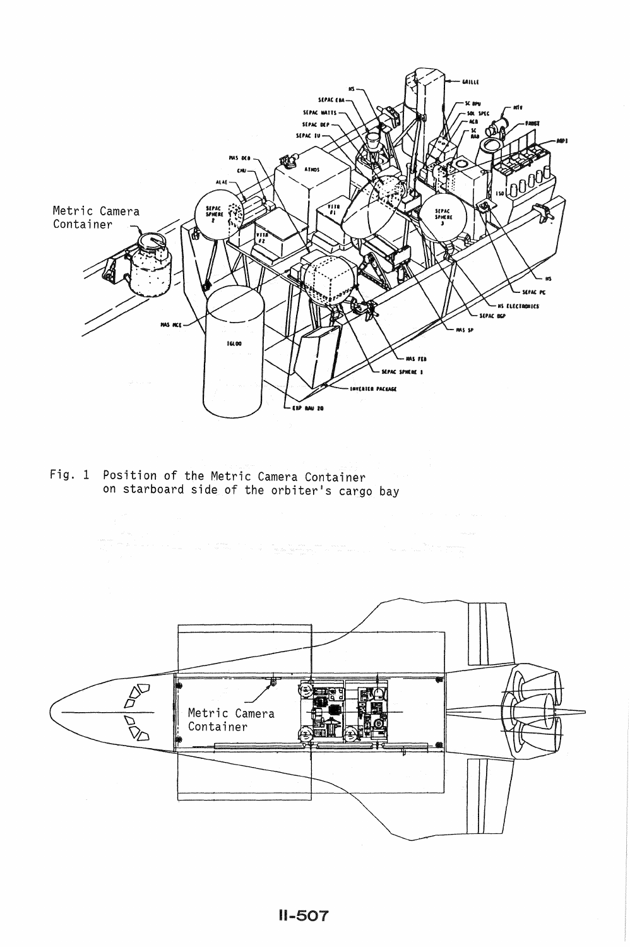

Fig. 1 Position of the Metric Camera Container on starboard side of the orbiter's cargo bay

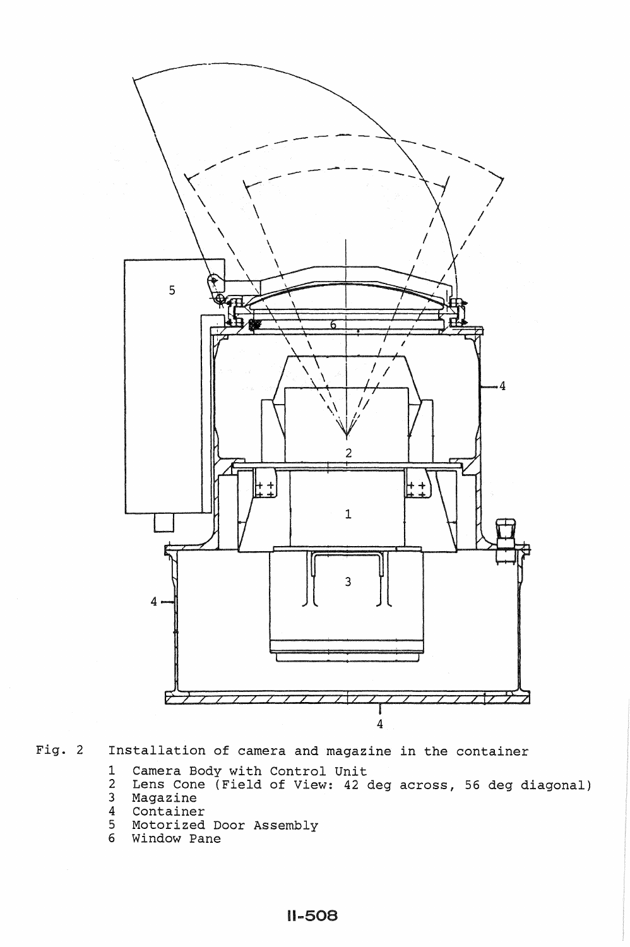

Fig. 2 Installation of camera and magazine in the container

- 1 Camera Body with Control Unit<br>2 Lens Cone (Field of View: 42
- 2 Lens Cone (Field of View: 42 deg across, 56 deg diagonal) 3 Magazine
- 
- 4 Container Motorized Door Assembly
- 6 Window Pane